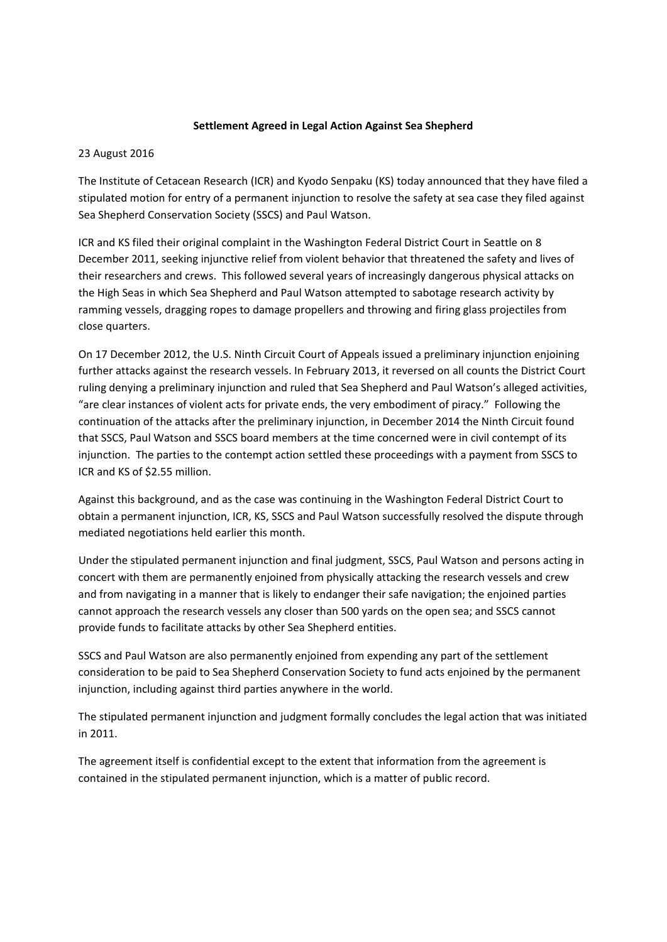## **Settlement Agreed in Legal Action Against Sea Shepherd**

## 23 August 2016

The Institute of Cetacean Research (ICR) and Kyodo Senpaku (KS) today announced that they have filed a stipulated motion for entry of a permanent injunction to resolve the safety at sea case they filed against Sea Shepherd Conservation Society (SSCS) and Paul Watson.

ICR and KS filed their original complaint in the Washington Federal District Court in Seattle on 8 December 2011, seeking injunctive relief from violent behavior that threatened the safety and lives of their researchers and crews. This followed several years of increasingly dangerous physical attacks on the High Seas in which Sea Shepherd and Paul Watson attempted to sabotage research activity by ramming vessels, dragging ropes to damage propellers and throwing and firing glass projectiles from close quarters.

On 17 December 2012, the U.S. Ninth Circuit Court of Appeals issued a preliminary injunction enjoining further attacks against the research vessels. In February 2013, it reversed on all counts the District Court ruling denying a preliminary injunction and ruled that Sea Shepherd and Paul Watson's alleged activities, "are clear instances of violent acts for private ends, the very embodiment of piracy." Following the continuation of the attacks after the preliminary injunction, in December 2014 the Ninth Circuit found that SSCS, Paul Watson and SSCS board members at the time concerned were in civil contempt of its injunction. The parties to the contempt action settled these proceedings with a payment from SSCS to ICR and KS of \$2.55 million.

Against this background, and as the case was continuing in the Washington Federal District Court to obtain a permanent injunction, ICR, KS, SSCS and Paul Watson successfully resolved the dispute through mediated negotiations held earlier this month.

Under the stipulated permanent injunction and final judgment, SSCS, Paul Watson and persons acting in concert with them are permanently enjoined from physically attacking the research vessels and crew and from navigating in a manner that is likely to endanger their safe navigation; the enjoined parties cannot approach the research vessels any closer than 500 yards on the open sea; and SSCS cannot provide funds to facilitate attacks by other Sea Shepherd entities.

SSCS and Paul Watson are also permanently enjoined from expending any part of the settlement consideration to be paid to Sea Shepherd Conservation Society to fund acts enjoined by the permanent injunction, including against third parties anywhere in the world.

The stipulated permanent injunction and judgment formally concludes the legal action that was initiated in 2011.

The agreement itself is confidential except to the extent that information from the agreement is contained in the stipulated permanent injunction, which is a matter of public record.